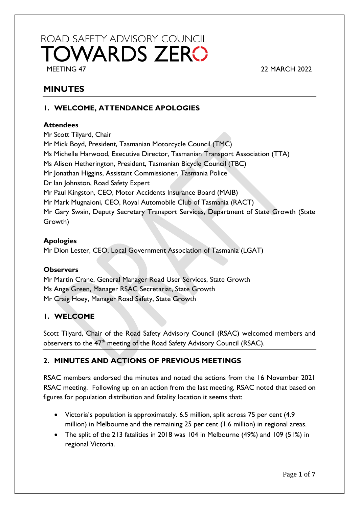# ROAD SAFETY ADVISORY COUNCIL **TOWARDS ZERO** MEETING 47 22 MARCH 2022

# **MINUTES**

# **1. WELCOME, ATTENDANCE APOLOGIES**

## **Attendees**

Mr Scott Tilyard, Chair Mr Mick Boyd, President, Tasmanian Motorcycle Council (TMC) Ms Michelle Harwood, Executive Director, Tasmanian Transport Association (TTA) Ms Alison Hetherington, President, Tasmanian Bicycle Council (TBC) Mr Jonathan Higgins, Assistant Commissioner, Tasmania Police Dr Ian Johnston, Road Safety Expert Mr Paul Kingston, CEO, Motor Accidents Insurance Board (MAIB) Mr Mark Mugnaioni, CEO, Royal Automobile Club of Tasmania (RACT) Mr Gary Swain, Deputy Secretary Transport Services, Department of State Growth (State Growth)

#### **Apologies**

Mr Dion Lester, CEO, Local Government Association of Tasmania (LGAT)

#### **Observers**

Mr Martin Crane, General Manager Road User Services, State Growth Ms Ange Green, Manager RSAC Secretariat, State Growth Mr Craig Hoey, Manager Road Safety, State Growth

# **1. WELCOME**

Scott Tilyard, Chair of the Road Safety Advisory Council (RSAC) welcomed members and observers to the 47<sup>th</sup> meeting of the Road Safety Advisory Council (RSAC).

# **2. MINUTES AND ACTIONS OF PREVIOUS MEETINGS**

RSAC members endorsed the minutes and noted the actions from the 16 November 2021 RSAC meeting. Following up on an action from the last meeting, RSAC noted that based on figures for population distribution and fatality location it seems that:

- Victoria's population is approximately. 6.5 million, split across 75 per cent (4.9 million) in Melbourne and the remaining 25 per cent (1.6 million) in regional areas.
- The split of the 213 fatalities in 2018 was 104 in Melbourne (49%) and 109 (51%) in regional Victoria.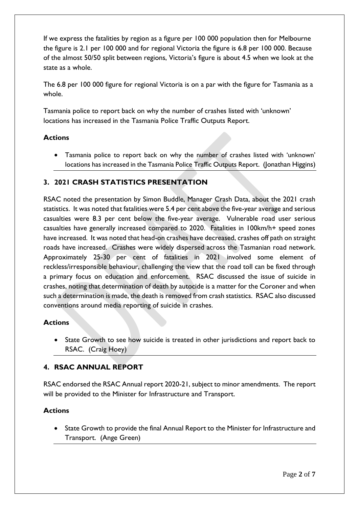If we express the fatalities by region as a figure per 100 000 population then for Melbourne the figure is 2.1 per 100 000 and for regional Victoria the figure is 6.8 per 100 000. Because of the almost 50/50 split between regions, Victoria's figure is about 4.5 when we look at the state as a whole.

The 6.8 per 100 000 figure for regional Victoria is on a par with the figure for Tasmania as a whole.

Tasmania police to report back on why the number of crashes listed with 'unknown' locations has increased in the Tasmania Police Traffic Outputs Report.

#### **Actions**

• Tasmania police to report back on why the number of crashes listed with 'unknown' locations has increased in the Tasmania Police Traffic Outputs Report. (Jonathan Higgins)

#### **3. 2021 CRASH STATISTICS PRESENTATION**

RSAC noted the presentation by Simon Buddle, Manager Crash Data, about the 2021 crash statistics. It was noted that fatalities were 5.4 per cent above the five-year average and serious casualties were 8.3 per cent below the five-year average. Vulnerable road user serious casualties have generally increased compared to 2020. Fatalities in 100km/h+ speed zones have increased. It was noted that head-on crashes have decreased, crashes off path on straight roads have increased. Crashes were widely dispersed across the Tasmanian road network. Approximately 25-30 per cent of fatalities in 2021 involved some element of reckless/irresponsible behaviour, challenging the view that the road toll can be fixed through a primary focus on education and enforcement. RSAC discussed the issue of suicide in crashes, noting that determination of death by autocide is a matter for the Coroner and when such a determination is made, the death is removed from crash statistics. RSAC also discussed conventions around media reporting of suicide in crashes.

#### **Actions**

• State Growth to see how suicide is treated in other jurisdictions and report back to RSAC. (Craig Hoey)

# **4. RSAC ANNUAL REPORT**

RSAC endorsed the RSAC Annual report 2020-21, subject to minor amendments. The report will be provided to the Minister for Infrastructure and Transport.

#### **Actions**

• State Growth to provide the final Annual Report to the Minister for Infrastructure and Transport. (Ange Green)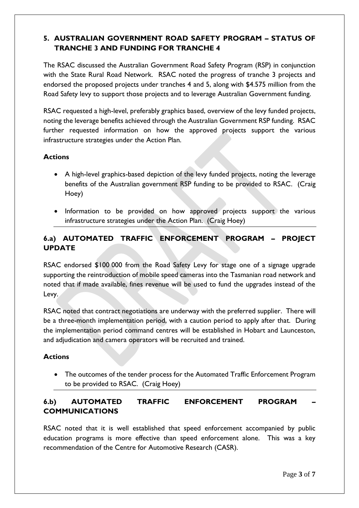# **5. AUSTRALIAN GOVERNMENT ROAD SAFETY PROGRAM – STATUS OF TRANCHE 3 AND FUNDING FOR TRANCHE 4**

The RSAC discussed the Australian Government Road Safety Program (RSP) in conjunction with the State Rural Road Network. RSAC noted the progress of tranche 3 projects and endorsed the proposed projects under tranches 4 and 5, along with \$4.575 million from the Road Safety levy to support those projects and to leverage Australian Government funding.

RSAC requested a high-level, preferably graphics based, overview of the levy funded projects, noting the leverage benefits achieved through the Australian Government RSP funding. RSAC further requested information on how the approved projects support the various infrastructure strategies under the Action Plan.

# **Actions**

- A high-level graphics-based depiction of the levy funded projects, noting the leverage benefits of the Australian government RSP funding to be provided to RSAC. (Craig Hoey)
- Information to be provided on how approved projects support the various infrastructure strategies under the Action Plan. (Craig Hoey)

# **6.a) AUTOMATED TRAFFIC ENFORCEMENT PROGRAM – PROJECT UPDATE**

RSAC endorsed \$100 000 from the Road Safety Levy for stage one of a signage upgrade supporting the reintroduction of mobile speed cameras into the Tasmanian road network and noted that if made available, fines revenue will be used to fund the upgrades instead of the Levy.

RSAC noted that contract negotiations are underway with the preferred supplier. There will be a three-month implementation period, with a caution period to apply after that. During the implementation period command centres will be established in Hobart and Launceston, and adjudication and camera operators will be recruited and trained.

#### **Actions**

• The outcomes of the tender process for the Automated Traffic Enforcement Program to be provided to RSAC. (Craig Hoey)

# **6.b) AUTOMATED TRAFFIC ENFORCEMENT PROGRAM – COMMUNICATIONS**

RSAC noted that it is well established that speed enforcement accompanied by public education programs is more effective than speed enforcement alone. This was a key recommendation of the Centre for Automotive Research (CASR).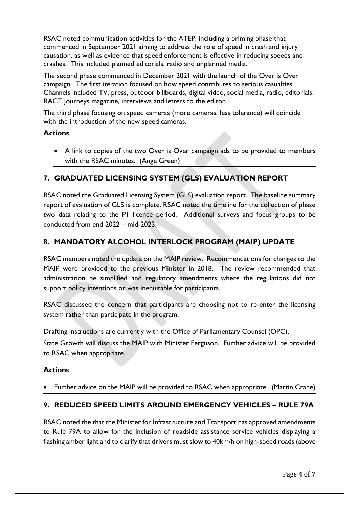RSAC noted communication activities for the ATEP, including a priming phase that commenced in September 2021 aiming to address the role of speed in crash and injury causation, as well as evidence that speed enforcement is effective in reducing speeds and crashes. This included planned editorials, radio and unplanned media.

The second phase commenced in December 2021 with the launch of the Over is Over campaign. The first iteration focused on how speed contributes to serious casualties. Channels included TV, press, outdoor billboards, digital video, social media, radio, editorials, RACT Journeys magazine, interviews and letters to the editor.

The third phase focusing on speed cameras (more cameras, less tolerance) will coincide with the introduction of the new speed cameras.

#### **Actions**

• A link to copies of the two Over is Over campaign ads to be provided to members with the RSAC minutes. (Ange Green)

# **7. GRADUATED LICENSING SYSTEM (GLS) EVALUATION REPORT**

RSAC noted the Graduated Licensing System (GLS) evaluation report. The baseline summary report of evaluation of GLS is complete. RSAC noted the timeline for the collection of phase two data relating to the P1 licence period. Additional surveys and focus groups to be conducted from end 2022 – mid-2023.

#### **8. MANDATORY ALCOHOL INTERLOCK PROGRAM (MAIP) UPDATE**

RSAC members noted the update on the MAIP review. Recommendations for changes to the MAIP were provided to the previous Minister in 2018. The review recommended that administration be simplified and regulatory amendments where the regulations did not support policy intentions or was inequitable for participants.

RSAC discussed the concern that participants are choosing not to re-enter the licensing system rather than participate in the program.

Drafting instructions are currently with the Office of Parliamentary Counsel (OPC).

State Growth will discuss the MAIP with Minister Ferguson. Further advice will be provided to RSAC when appropriate.

#### **Actions**

• Further advice on the MAIP will be provided to RSAC when appropriate. (Martin Crane)

#### **9. REDUCED SPEED LIMITS AROUND EMERGENCY VEHICLES – RULE 79A**

RSAC noted the that the Minister for Infrastructure and Transport has approved amendments to Rule 79A to allow for the inclusion of roadside assistance service vehicles displaying a flashing amber light and to clarify that drivers must slow to 40km/h on high-speed roads (above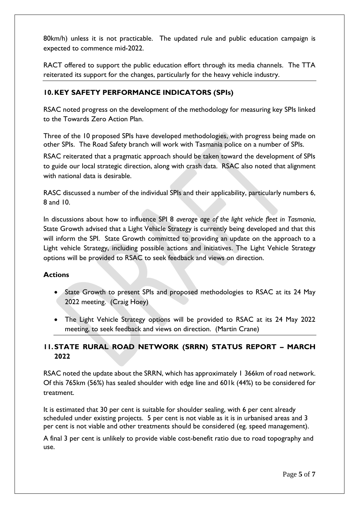80km/h) unless it is not practicable. The updated rule and public education campaign is expected to commence mid-2022.

RACT offered to support the public education effort through its media channels. The TTA reiterated its support for the changes, particularly for the heavy vehicle industry.

# **10.KEY SAFETY PERFORMANCE INDICATORS (SPIs)**

RSAC noted progress on the development of the methodology for measuring key SPIs linked to the Towards Zero Action Plan.

Three of the 10 proposed SPIs have developed methodologies, with progress being made on other SPIs. The Road Safety branch will work with Tasmania police on a number of SPIs.

RSAC reiterated that a pragmatic approach should be taken toward the development of SPIs to guide our local strategic direction, along with crash data. RSAC also noted that alignment with national data is desirable.

RASC discussed a number of the individual SPIs and their applicability, particularly numbers 6, 8 and 10.

In discussions about how to influence SPI 8 *average age of the light vehicle fleet in Tasmania*, State Growth advised that a Light Vehicle Strategy is currently being developed and that this will inform the SPI. State Growth committed to providing an update on the approach to a Light vehicle Strategy, including possible actions and initiatives. The Light Vehicle Strategy options will be provided to RSAC to seek feedback and views on direction.

#### **Actions**

- State Growth to present SPIs and proposed methodologies to RSAC at its 24 May 2022 meeting. (Craig Hoey)
- The Light Vehicle Strategy options will be provided to RSAC at its 24 May 2022 meeting, to seek feedback and views on direction. (Martin Crane)

# **11.STATE RURAL ROAD NETWORK (SRRN) STATUS REPORT – MARCH 2022**

RSAC noted the update about the SRRN, which has approximately 1 366km of road network. Of this 765km (56%) has sealed shoulder with edge line and 601k (44%) to be considered for treatment.

It is estimated that 30 per cent is suitable for shoulder sealing, with 6 per cent already scheduled under existing projects. 5 per cent is not viable as it is in urbanised areas and 3 per cent is not viable and other treatments should be considered (eg. speed management).

A final 3 per cent is unlikely to provide viable cost-benefit ratio due to road topography and use.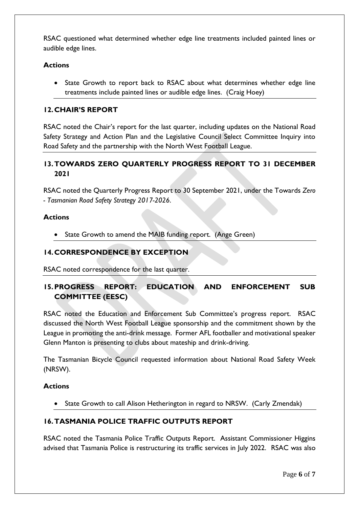RSAC questioned what determined whether edge line treatments included painted lines or audible edge lines.

## **Actions**

• State Growth to report back to RSAC about what determines whether edge line treatments include painted lines or audible edge lines. (Craig Hoey)

# **12.CHAIR'S REPORT**

RSAC noted the Chair's report for the last quarter, including updates on the National Road Safety Strategy and Action Plan and the Legislative Council Select Committee Inquiry into Road Safety and the partnership with the North West Football League.

# **13.TOWARDS ZERO QUARTERLY PROGRESS REPORT TO 31 DECEMBER 2021**

RSAC noted the Quarterly Progress Report to 30 September 2021, under the Towards *Zero - Tasmanian Road Safety Strategy 2017-2026*.

#### **Actions**

State Growth to amend the MAIB funding report. (Ange Green)

#### **14.CORRESPONDENCE BY EXCEPTION**

RSAC noted correspondence for the last quarter.

# **15.PROGRESS REPORT: EDUCATION AND ENFORCEMENT SUB COMMITTEE (EESC)**

RSAC noted the Education and Enforcement Sub Committee's progress report. RSAC discussed the North West Football League sponsorship and the commitment shown by the League in promoting the anti-drink message. Former AFL footballer and motivational speaker Glenn Manton is presenting to clubs about mateship and drink-driving.

The Tasmanian Bicycle Council requested information about National Road Safety Week (NRSW).

#### **Actions**

• State Growth to call Alison Hetherington in regard to NRSW. (Carly Zmendak)

#### **16.TASMANIA POLICE TRAFFIC OUTPUTS REPORT**

RSAC noted the Tasmania Police Traffic Outputs Report. Assistant Commissioner Higgins advised that Tasmania Police is restructuring its traffic services in July 2022. RSAC was also